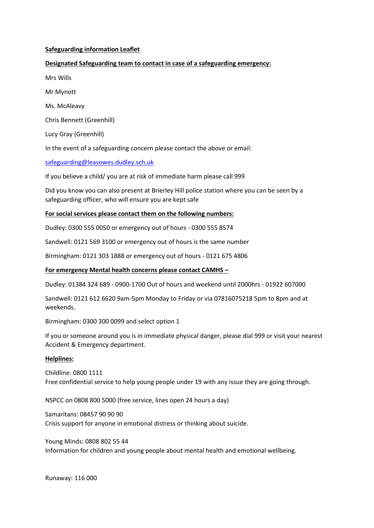## **Safeguarding information Leaflet**

# **Designated Safeguarding team to contact in case of a safeguarding emergency:**

- Mrs Wills
- Mr Mynott
- Ms. McAleavy
- Chris Bennett (Greenhill)
- Lucy Gray (Greenhill)

In the event of a safeguarding concern please contact the above or email:

# [safeguarding@leasowes.dudley.sch.uk](mailto:safeguarding@leasowes.dudley.sch.uk)

If you believe a child/ you are at risk of immediate harm please call 999

Did you know you can also present at Brierley Hill police station where you can be seen by a safeguarding officer, who will ensure you are kept safe

# **For social services please contact them on the following numbers:**

Dudley: 0300 555 0050 or emergency out of hours - 0300 555 8574

Sandwell: 0121 569 3100 or emergency out of hours is the same number

Birmingham: 0121 303 1888 or emergency out of hours - 0121 675 4806

## **For emergency Mental health concerns please contact CAMHS –**

Dudley: 01384 324 689 - 0900-1700 Out of hours and weekend until 2000hrs - 01922 607000

Sandwell: 0121 612 6620 9am-5pm Monday to Friday or via 07816075218 5pm to 8pm and at weekends.

Birmingham: 0300 300 0099 and select option 1

If you or someone around you is in immediate physical danger, please dial 999 or visit your nearest Accident & Emergency department.

## **Helplines:**

Childline: 0800 1111 Free confidential service to help young people under 19 with any issue they are going through.

NSPCC on 0808 800 5000 (free service, lines open 24 hours a day)

Samaritans: 08457 90 90 90 Crisis support for anyone in emotional distress or thinking about suicide.

Young Minds: 0808 802 55 44 Information for children and young people about mental health and emotional wellbeing.

Runaway: 116 000